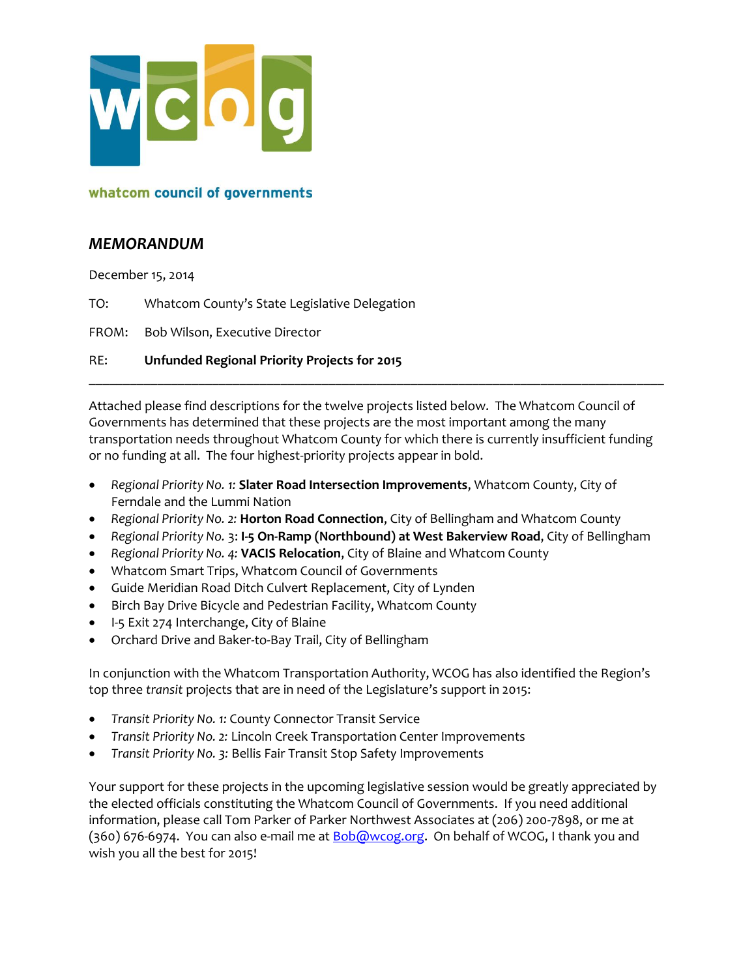

### *MEMORANDUM*

December 15, 2014

TO: Whatcom County's State Legislative Delegation

FROM: Bob Wilson, Executive Director

RE: **Unfunded Regional Priority Projects for 2015**

Attached please find descriptions for the twelve projects listed below. The Whatcom Council of Governments has determined that these projects are the most important among the many transportation needs throughout Whatcom County for which there is currently insufficient funding or no funding at all. The four highest-priority projects appear in bold.

\_\_\_\_\_\_\_\_\_\_\_\_\_\_\_\_\_\_\_\_\_\_\_\_\_\_\_\_\_\_\_\_\_\_\_\_\_\_\_\_\_\_\_\_\_\_\_\_\_\_\_\_\_\_\_\_\_\_\_\_\_\_\_\_\_\_\_\_\_\_\_\_\_\_\_\_\_\_\_\_\_\_\_\_

- *Regional Priority No. 1:* **Slater Road Intersection Improvements**, Whatcom County, City of Ferndale and the Lummi Nation
- *Regional Priority No. 2:* **Horton Road Connection**, City of Bellingham and Whatcom County
- *Regional Priority No.* 3: **I-5 On-Ramp (Northbound) at West Bakerview Road**, City of Bellingham
- *Regional Priority No. 4:* **VACIS Relocation**, City of Blaine and Whatcom County
- Whatcom Smart Trips, Whatcom Council of Governments
- Guide Meridian Road Ditch Culvert Replacement, City of Lynden
- Birch Bay Drive Bicycle and Pedestrian Facility, Whatcom County
- I-5 Exit 274 Interchange, City of Blaine
- Orchard Drive and Baker-to-Bay Trail, City of Bellingham

In conjunction with the Whatcom Transportation Authority, WCOG has also identified the Region's top three *transit* projects that are in need of the Legislature's support in 2015:

- *Transit Priority No. 1:* County Connector Transit Service
- *Transit Priority No. 2:* Lincoln Creek Transportation Center Improvements
- *Transit Priority No. 3:* Bellis Fair Transit Stop Safety Improvements

Your support for these projects in the upcoming legislative session would be greatly appreciated by the elected officials constituting the Whatcom Council of Governments. If you need additional information, please call Tom Parker of Parker Northwest Associates at (206) 200-7898, or me at (360) 676-6974. You can also e-mail me at **Bob@wcog.org**. On behalf of WCOG, I thank you and wish you all the best for 2015!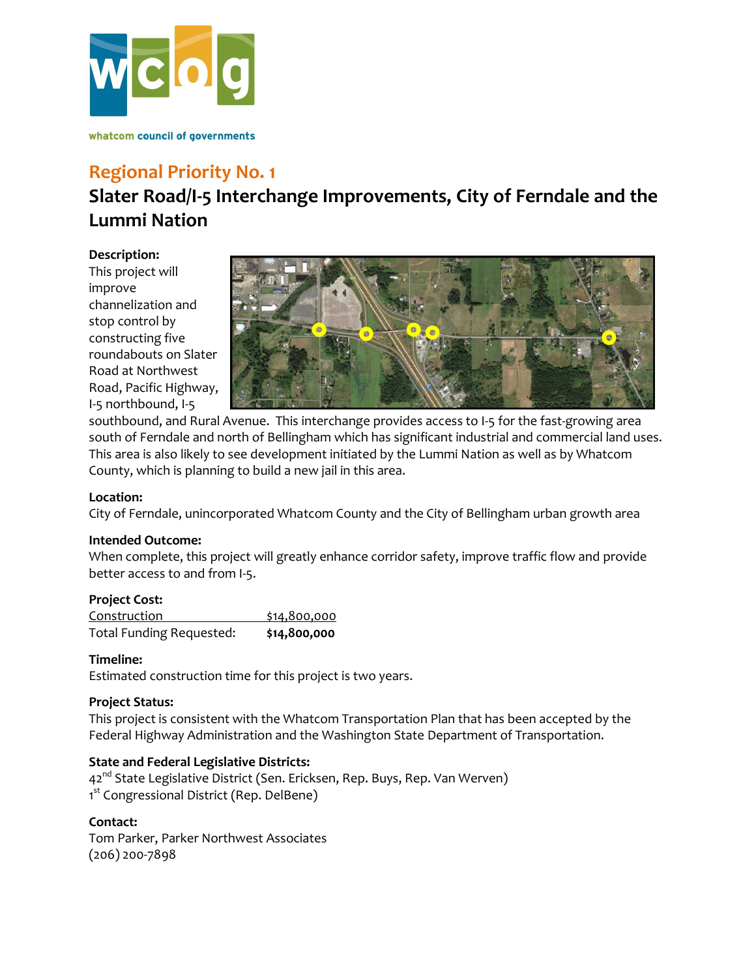

## **Regional Priority No. 1**

## **Slater Road/I-5 Interchange Improvements, City of Ferndale and the Lummi Nation**

**Description:**

This project will improve channelization and stop control by constructing five roundabouts on Slater Road at Northwest Road, Pacific Highway, I-5 northbound, I-5



southbound, and Rural Avenue. This interchange provides access to I-5 for the fast-growing area south of Ferndale and north of Bellingham which has significant industrial and commercial land uses. This area is also likely to see development initiated by the Lummi Nation as well as by Whatcom County, which is planning to build a new jail in this area.

### **Location:**

City of Ferndale, unincorporated Whatcom County and the City of Bellingham urban growth area

#### **Intended Outcome:**

When complete, this project will greatly enhance corridor safety, improve traffic flow and provide better access to and from I-5.

#### **Project Cost:**

| Construction                    | \$14,800,000 |
|---------------------------------|--------------|
| <b>Total Funding Requested:</b> | \$14,800,000 |

#### **Timeline:**

Estimated construction time for this project is two years.

#### **Project Status:**

This project is consistent with the Whatcom Transportation Plan that has been accepted by the Federal Highway Administration and the Washington State Department of Transportation.

#### **State and Federal Legislative Districts:**

42<sup>nd</sup> State Legislative District (Sen. Ericksen, Rep. Buys, Rep. Van Werven) 1<sup>st</sup> Congressional District (Rep. DelBene)

#### **Contact:**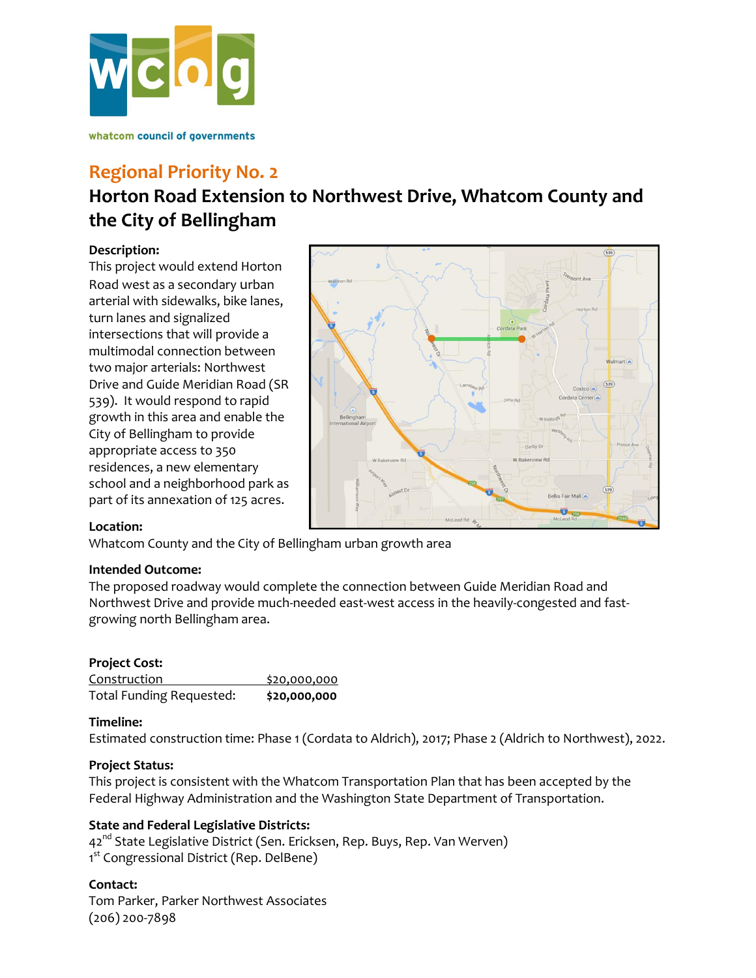

## **Regional Priority No. 2**

# **Horton Road Extension to Northwest Drive, Whatcom County and the City of Bellingham**

#### **Description:**

This project would extend Horton Road west as a secondary urban arterial with sidewalks, bike lanes, turn lanes and signalized intersections that will provide a multimodal connection between two major arterials: Northwest Drive and Guide Meridian Road (SR 539). It would respond to rapid growth in this area and enable the City of Bellingham to provide appropriate access to 350 residences, a new elementary school and a neighborhood park as part of its annexation of 125 acres.



#### **Location:**

Whatcom County and the City of Bellingham urban growth area

#### **Intended Outcome:**

The proposed roadway would complete the connection between Guide Meridian Road and Northwest Drive and provide much-needed east-west access in the heavily-congested and fastgrowing north Bellingham area.

### **Project Cost:**

| Construction                    | \$20,000,000 |
|---------------------------------|--------------|
| <b>Total Funding Requested:</b> | \$20,000,000 |

#### **Timeline:**

Estimated construction time: Phase 1 (Cordata to Aldrich), 2017; Phase 2 (Aldrich to Northwest), 2022.

#### **Project Status:**

This project is consistent with the Whatcom Transportation Plan that has been accepted by the Federal Highway Administration and the Washington State Department of Transportation.

### **State and Federal Legislative Districts:**

42<sup>nd</sup> State Legislative District (Sen. Ericksen, Rep. Buys, Rep. Van Werven) 1<sup>st</sup> Congressional District (Rep. DelBene)

#### **Contact:**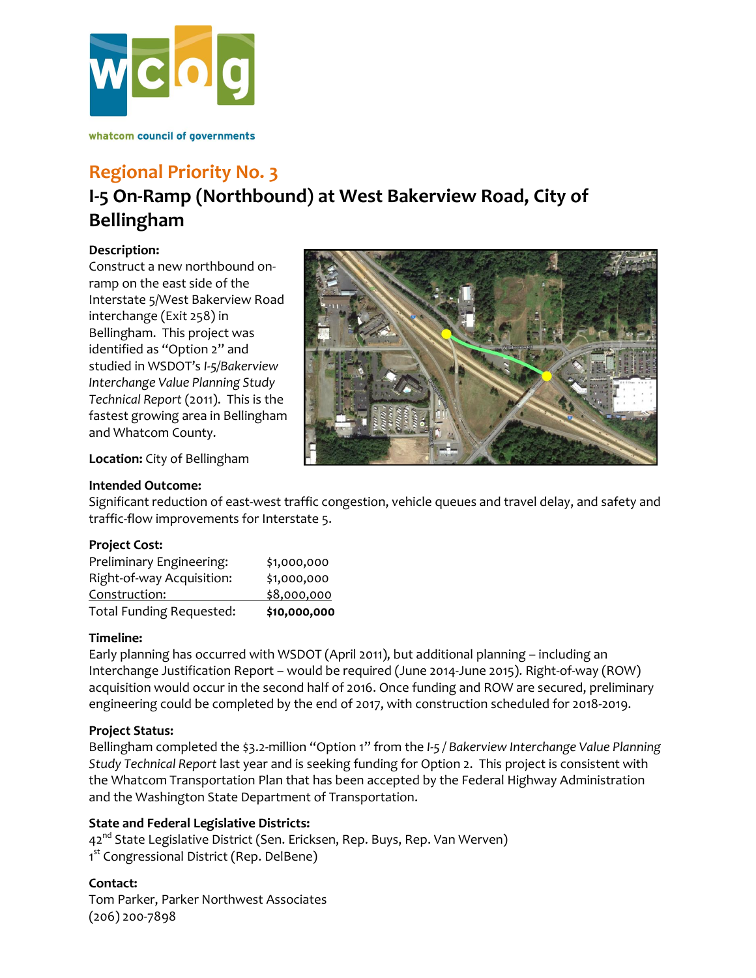

## **Regional Priority No. 3**

# **I-5 On-Ramp (Northbound) at West Bakerview Road, City of Bellingham**

#### **Description:**

Construct a new northbound onramp on the east side of the Interstate 5/West Bakerview Road interchange (Exit 258) in Bellingham. This project was identified as "Option 2" and studied in WSDOT's *I-5/Bakerview Interchange Value Planning Study Technical Report* (2011). This is the fastest growing area in Bellingham and Whatcom County.



**Location:** City of Bellingham

#### **Intended Outcome:**

Significant reduction of east-west traffic congestion, vehicle queues and travel delay, and safety and traffic-flow improvements for Interstate 5.

#### **Project Cost:**

| Preliminary Engineering:  | \$1,000,000  |
|---------------------------|--------------|
| Right-of-way Acquisition: | \$1,000,000  |
| Construction:             | \$8,000,000  |
| Total Funding Requested:  | \$10,000,000 |

#### **Timeline:**

Early planning has occurred with WSDOT (April 2011), but additional planning – including an Interchange Justification Report – would be required (June 2014-June 2015). Right-of-way (ROW) acquisition would occur in the second half of 2016. Once funding and ROW are secured, preliminary engineering could be completed by the end of 2017, with construction scheduled for 2018-2019.

### **Project Status:**

Bellingham completed the \$3.2-million "Option 1" from the *I-5 / Bakerview Interchange Value Planning Study Technical Report* last year and is seeking funding for Option 2. This project is consistent with the Whatcom Transportation Plan that has been accepted by the Federal Highway Administration and the Washington State Department of Transportation.

### **State and Federal Legislative Districts:**

42<sup>nd</sup> State Legislative District (Sen. Ericksen, Rep. Buys, Rep. Van Werven) 1<sup>st</sup> Congressional District (Rep. DelBene)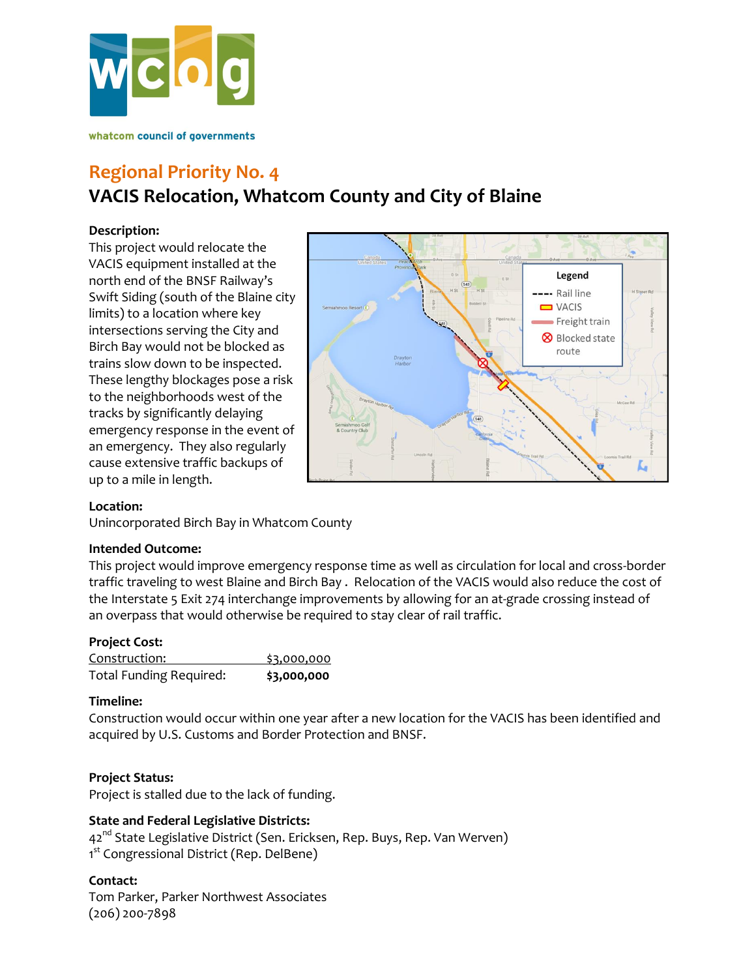

## **Regional Priority No. 4 VACIS Relocation, Whatcom County and City of Blaine**

#### **Description:**

This project would relocate the VACIS equipment installed at the north end of the BNSF Railway's Swift Siding (south of the Blaine city limits) to a location where key intersections serving the City and Birch Bay would not be blocked as trains slow down to be inspected. These lengthy blockages pose a risk to the neighborhoods west of the tracks by significantly delaying emergency response in the event of an emergency. They also regularly cause extensive traffic backups of up to a mile in length.



#### **Location:**

Unincorporated Birch Bay in Whatcom County

#### **Intended Outcome:**

This project would improve emergency response time as well as circulation for local and cross-border traffic traveling to west Blaine and Birch Bay . Relocation of the VACIS would also reduce the cost of the Interstate 5 Exit 274 interchange improvements by allowing for an at-grade crossing instead of an overpass that would otherwise be required to stay clear of rail traffic.

#### **Project Cost:**

| Construction:                  | \$3,000,000 |
|--------------------------------|-------------|
| <b>Total Funding Required:</b> | \$3,000,000 |

#### **Timeline:**

Construction would occur within one year after a new location for the VACIS has been identified and acquired by U.S. Customs and Border Protection and BNSF.

#### **Project Status:**

Project is stalled due to the lack of funding.

#### **State and Federal Legislative Districts:**

42<sup>nd</sup> State Legislative District (Sen. Ericksen, Rep. Buys, Rep. Van Werven) 1<sup>st</sup> Congressional District (Rep. DelBene)

#### **Contact:**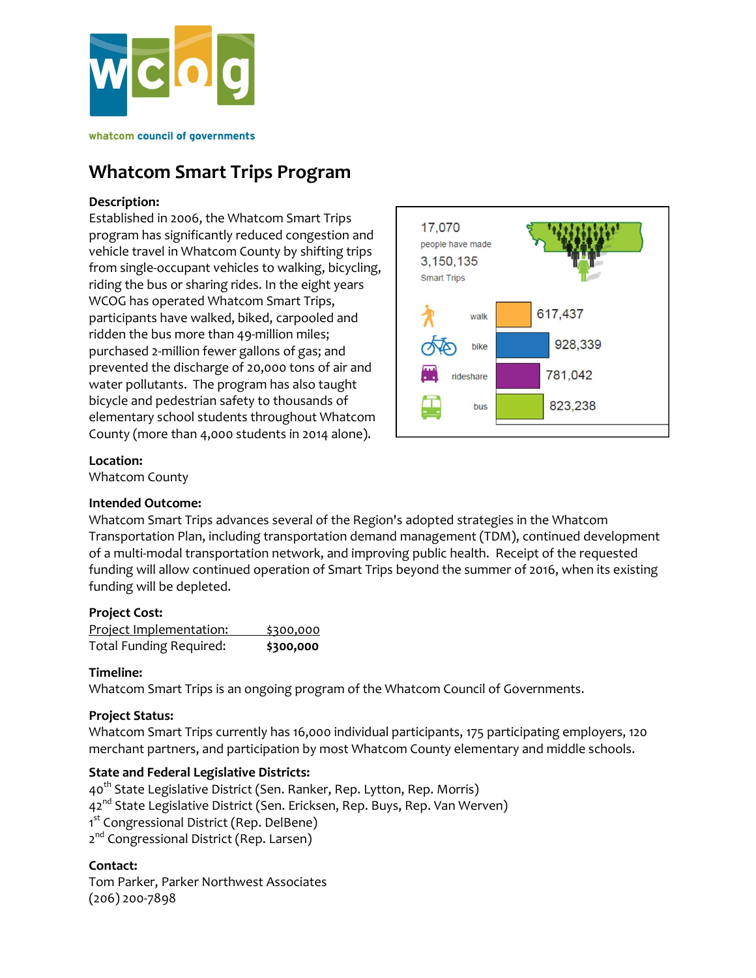

## **Whatcom Smart Trips Program**

#### **Description:**

Established in 2006, the Whatcom Smart Trips program has significantly reduced congestion and vehicle travel in Whatcom County by shifting trips from single-occupant vehicles to walking, bicycling, riding the bus or sharing rides. In the eight years WCOG has operated Whatcom Smart Trips, participants have walked, biked, carpooled and ridden the bus more than 49-million miles; purchased 2-million fewer gallons of gas; and prevented the discharge of 20,000 tons of air and water pollutants. The program has also taught bicycle and pedestrian safety to thousands of elementary school students throughout Whatcom County (more than 4,000 students in 2014 alone).



#### **Location:**

Whatcom County

### **Intended Outcome:**

Whatcom Smart Trips advances several of the Region's adopted strategies in the Whatcom Transportation Plan, including transportation demand management (TDM), continued development of a multi-modal transportation network, and improving public health. Receipt of the requested funding will allow continued operation of Smart Trips beyond the summer of 2016, when its existing funding will be depleted.

#### **Project Cost:**

| Project Implementation:        | \$300,000 |
|--------------------------------|-----------|
| <b>Total Funding Required:</b> | \$300,000 |

### **Timeline:**

Whatcom Smart Trips is an ongoing program of the Whatcom Council of Governments.

### **Project Status:**

Whatcom Smart Trips currently has 16,000 individual participants, 175 participating employers, 120 merchant partners, and participation by most Whatcom County elementary and middle schools.

### **State and Federal Legislative Districts:**

40<sup>th</sup> State Legislative District (Sen. Ranker, Rep. Lytton, Rep. Morris) 42<sup>nd</sup> State Legislative District (Sen. Ericksen, Rep. Buys, Rep. Van Werven) 1<sup>st</sup> Congressional District (Rep. DelBene) 2<sup>nd</sup> Congressional District (Rep. Larsen)

#### **Contact:**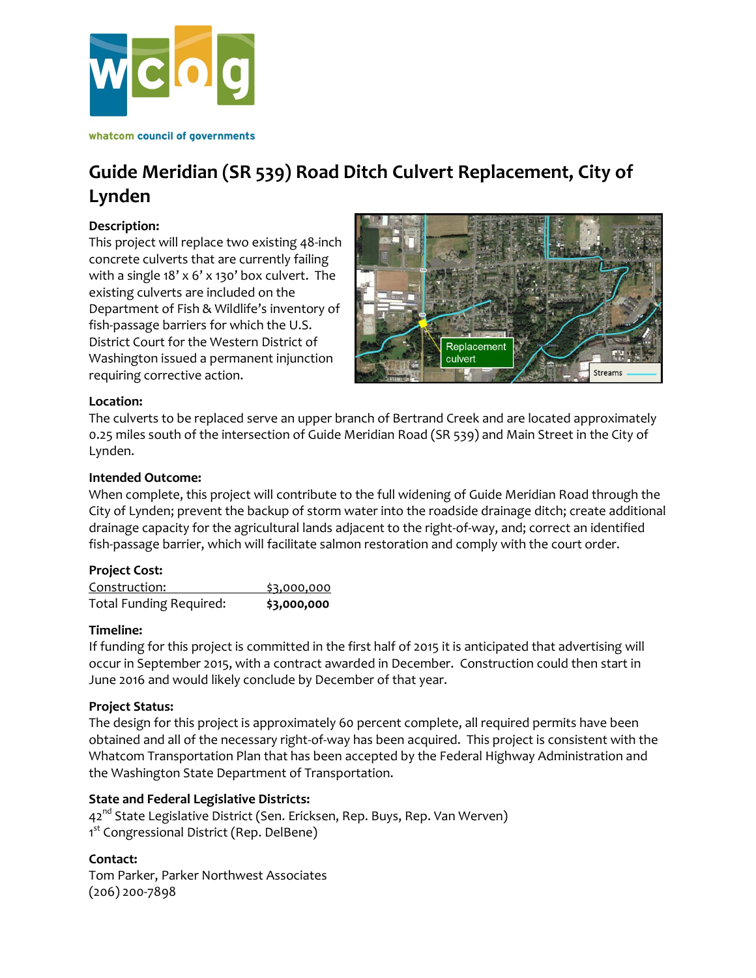

# **Guide Meridian (SR 539) Road Ditch Culvert Replacement, City of Lynden**

#### **Description:**

This project will replace two existing 48-inch concrete culverts that are currently failing with a single 18' x 6' x 130' box culvert. The existing culverts are included on the Department of Fish & Wildlife's inventory of fish-passage barriers for which the U.S. District Court for the Western District of Washington issued a permanent injunction requiring corrective action.



#### **Location:**

The culverts to be replaced serve an upper branch of Bertrand Creek and are located approximately 0.25 miles south of the intersection of Guide Meridian Road (SR 539) and Main Street in the City of Lynden.

#### **Intended Outcome:**

When complete, this project will contribute to the full widening of Guide Meridian Road through the City of Lynden; prevent the backup of storm water into the roadside drainage ditch; create additional drainage capacity for the agricultural lands adjacent to the right-of-way, and; correct an identified fish-passage barrier, which will facilitate salmon restoration and comply with the court order.

### **Project Cost:**

| Construction:                  | \$3,000,000 |
|--------------------------------|-------------|
| <b>Total Funding Required:</b> | \$3,000,000 |

#### **Timeline:**

If funding for this project is committed in the first half of 2015 it is anticipated that advertising will occur in September 2015, with a contract awarded in December. Construction could then start in June 2016 and would likely conclude by December of that year.

#### **Project Status:**

The design for this project is approximately 60 percent complete, all required permits have been obtained and all of the necessary right-of-way has been acquired. This project is consistent with the Whatcom Transportation Plan that has been accepted by the Federal Highway Administration and the Washington State Department of Transportation.

### **State and Federal Legislative Districts:**

42<sup>nd</sup> State Legislative District (Sen. Ericksen, Rep. Buys, Rep. Van Werven) 1<sup>st</sup> Congressional District (Rep. DelBene)

### **Contact:**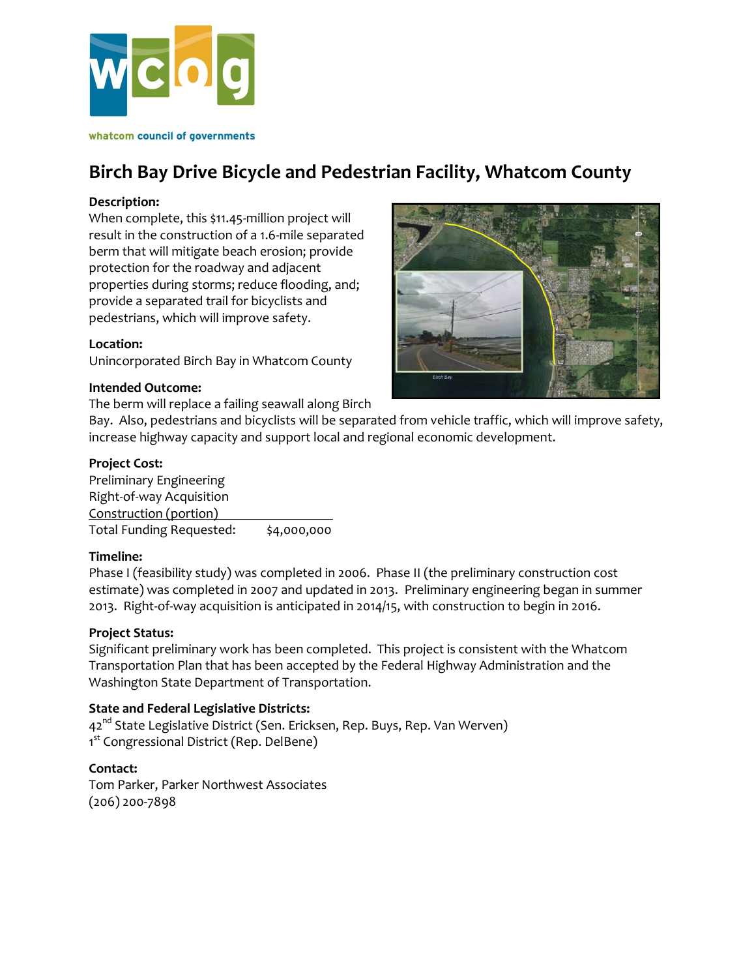

## **Birch Bay Drive Bicycle and Pedestrian Facility, Whatcom County**

#### **Description:**

When complete, this \$11.45-million project will result in the construction of a 1.6-mile separated berm that will mitigate beach erosion; provide protection for the roadway and adjacent properties during storms; reduce flooding, and; provide a separated trail for bicyclists and pedestrians, which will improve safety.

#### **Location:**

Unincorporated Birch Bay in Whatcom County

#### **Intended Outcome:**

The berm will replace a failing seawall along Birch



Bay. Also, pedestrians and bicyclists will be separated from vehicle traffic, which will improve safety, increase highway capacity and support local and regional economic development.

#### **Project Cost:**

Preliminary Engineering Right-of-way Acquisition Construction (portion) Total Funding Requested: \$4,000,000

#### **Timeline:**

Phase I (feasibility study) was completed in 2006. Phase II (the preliminary construction cost estimate) was completed in 2007 and updated in 2013. Preliminary engineering began in summer 2013. Right-of-way acquisition is anticipated in 2014/15, with construction to begin in 2016.

#### **Project Status:**

Significant preliminary work has been completed. This project is consistent with the Whatcom Transportation Plan that has been accepted by the Federal Highway Administration and the Washington State Department of Transportation.

#### **State and Federal Legislative Districts:**

42<sup>nd</sup> State Legislative District (Sen. Ericksen, Rep. Buys, Rep. Van Werven) 1<sup>st</sup> Congressional District (Rep. DelBene)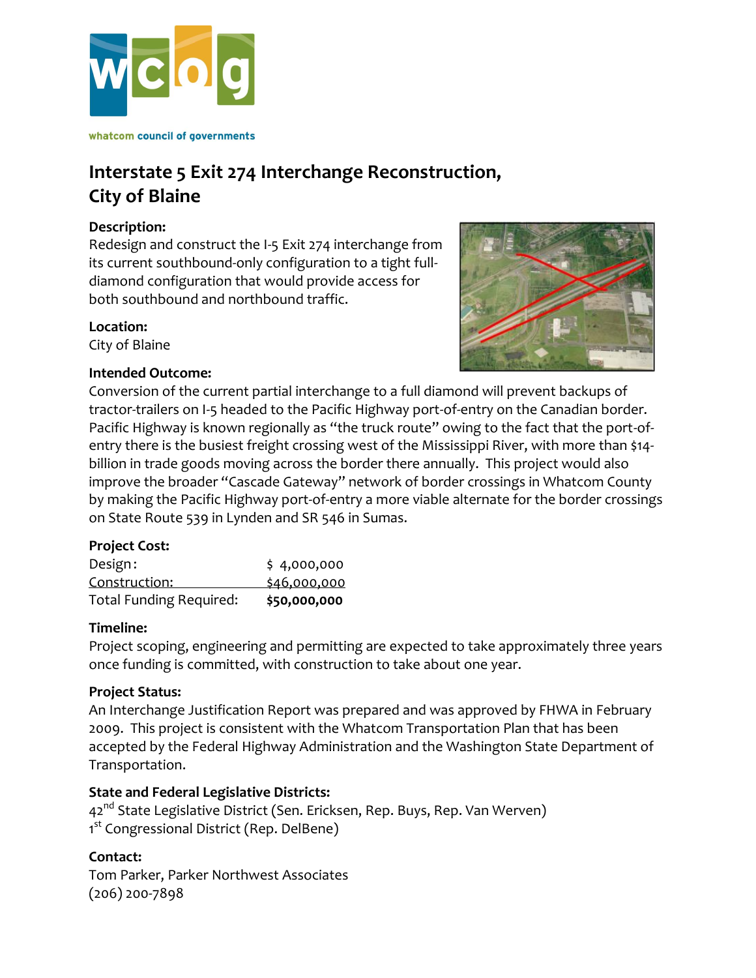

## **Interstate 5 Exit 274 Interchange Reconstruction, City of Blaine**

### **Description:**

Redesign and construct the I-5 Exit 274 interchange from its current southbound-only configuration to a tight fulldiamond configuration that would provide access for both southbound and northbound traffic.

### **Location:**

City of Blaine



### **Intended Outcome:**

Conversion of the current partial interchange to a full diamond will prevent backups of tractor-trailers on I-5 headed to the Pacific Highway port-of-entry on the Canadian border. Pacific Highway is known regionally as "the truck route" owing to the fact that the port-ofentry there is the busiest freight crossing west of the Mississippi River, with more than \$14 billion in trade goods moving across the border there annually. This project would also improve the broader "Cascade Gateway" network of border crossings in Whatcom County by making the Pacific Highway port-of-entry a more viable alternate for the border crossings on State Route 539 in Lynden and SR 546 in Sumas.

### **Project Cost:**

| <b>Total Funding Required:</b> | \$50,000,000 |
|--------------------------------|--------------|
| Construction:                  | \$46,000,000 |
| Design:                        | \$4,000,000  |

### **Timeline:**

Project scoping, engineering and permitting are expected to take approximately three years once funding is committed, with construction to take about one year.

### **Project Status:**

An Interchange Justification Report was prepared and was approved by FHWA in February 2009. This project is consistent with the Whatcom Transportation Plan that has been accepted by the Federal Highway Administration and the Washington State Department of Transportation.

### **State and Federal Legislative Districts:**

42<sup>nd</sup> State Legislative District (Sen. Ericksen, Rep. Buys, Rep. Van Werven) 1<sup>st</sup> Congressional District (Rep. DelBene)

### **Contact:**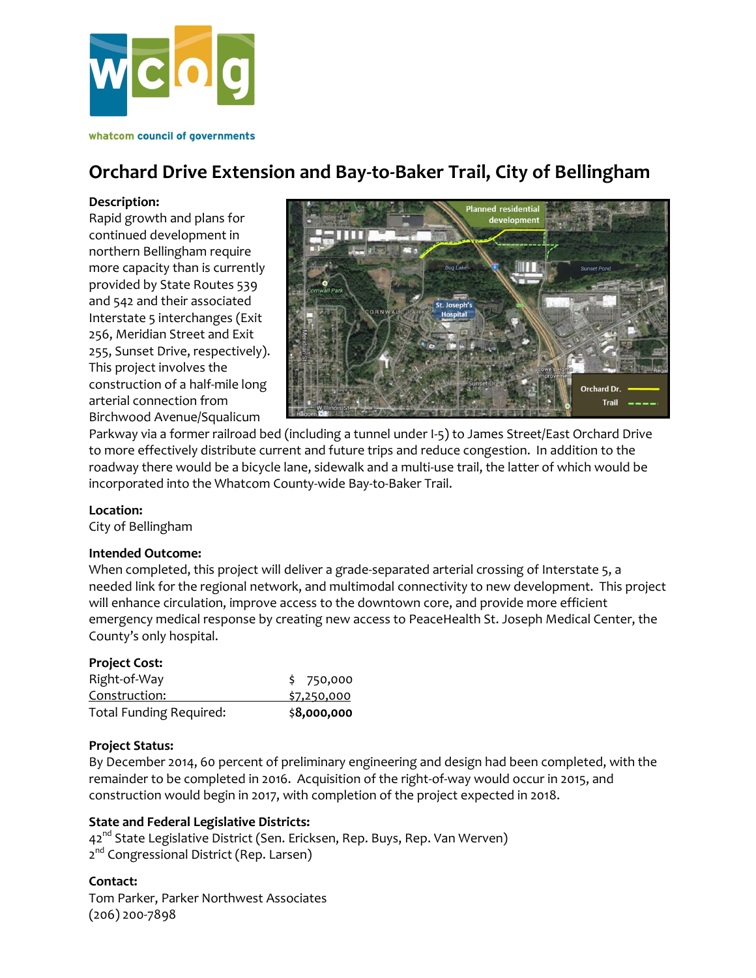

## **Orchard Drive Extension and Bay-to-Baker Trail, City of Bellingham**

#### **Description:**

Rapid growth and plans for continued development in northern Bellingham require more capacity than is currently provided by State Routes 539 and 542 and their associated Interstate 5 interchanges (Exit 256, Meridian Street and Exit 255, Sunset Drive, respectively). This project involves the construction of a half-mile long arterial connection from Birchwood Avenue/Squalicum



Parkway via a former railroad bed (including a tunnel under I-5) to James Street/East Orchard Drive to more effectively distribute current and future trips and reduce congestion. In addition to the roadway there would be a bicycle lane, sidewalk and a multi-use trail, the latter of which would be incorporated into the Whatcom County-wide Bay-to-Baker Trail.

#### **Location:**

City of Bellingham

#### **Intended Outcome:**

When completed, this project will deliver a grade-separated arterial crossing of Interstate 5, a needed link for the regional network, and multimodal connectivity to new development. This project will enhance circulation, improve access to the downtown core, and provide more efficient emergency medical response by creating new access to PeaceHealth St. Joseph Medical Center, the County's only hospital.

#### **Project Cost:**

| \$7,250,000 |
|-------------|
| \$750,000   |
|             |

#### **Project Status:**

By December 2014, 60 percent of preliminary engineering and design had been completed, with the remainder to be completed in 2016. Acquisition of the right-of-way would occur in 2015, and construction would begin in 2017, with completion of the project expected in 2018.

#### **State and Federal Legislative Districts:**

42<sup>nd</sup> State Legislative District (Sen. Ericksen, Rep. Buys, Rep. Van Werven) 2<sup>nd</sup> Congressional District (Rep. Larsen)

#### **Contact:**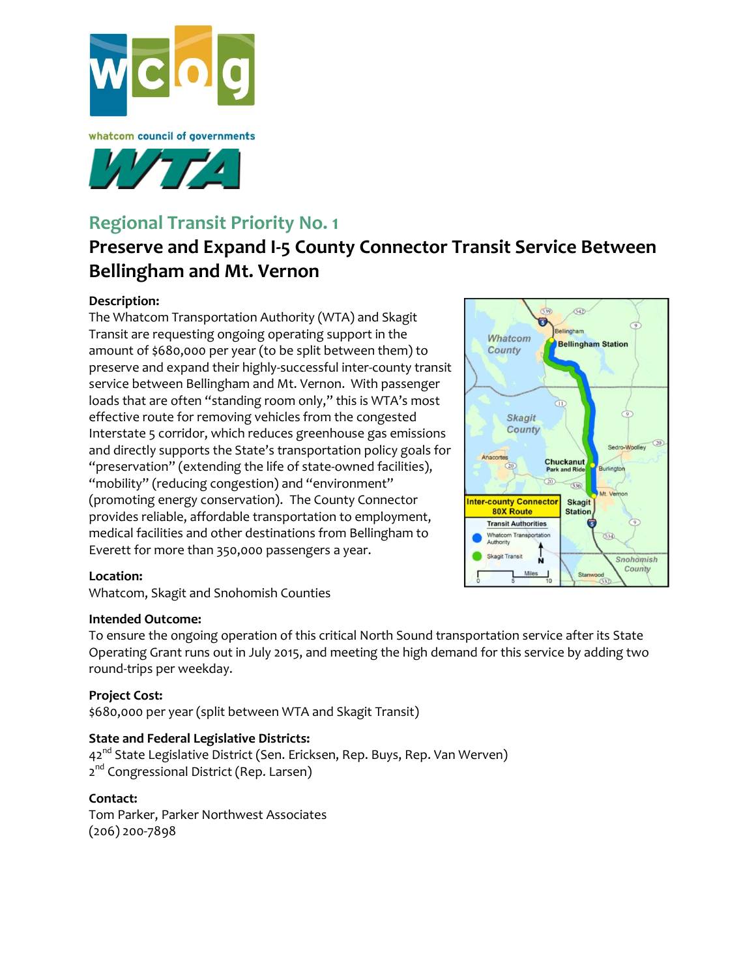



## **Regional Transit Priority No. 1**

# **Preserve and Expand I-5 County Connector Transit Service Between Bellingham and Mt. Vernon**

### **Description:**

The Whatcom Transportation Authority (WTA) and Skagit Transit are requesting ongoing operating support in the amount of \$680,000 per year (to be split between them) to preserve and expand their highly-successful inter-county transit service between Bellingham and Mt. Vernon. With passenger loads that are often "standing room only," this is WTA's most effective route for removing vehicles from the congested Interstate 5 corridor, which reduces greenhouse gas emissions and directly supports the State's transportation policy goals for "preservation" (extending the life of state-owned facilities), "mobility" (reducing congestion) and "environment" (promoting energy conservation). The County Connector provides reliable, affordable transportation to employment, medical facilities and other destinations from Bellingham to Everett for more than 350,000 passengers a year.



#### **Location:**

Whatcom, Skagit and Snohomish Counties

#### **Intended Outcome:**

To ensure the ongoing operation of this critical North Sound transportation service after its State Operating Grant runs out in July 2015, and meeting the high demand for this service by adding two round-trips per weekday.

### **Project Cost:**

\$680,000 per year (split between WTA and Skagit Transit)

### **State and Federal Legislative Districts:**

42<sup>nd</sup> State Legislative District (Sen. Ericksen, Rep. Buys, Rep. Van Werven) 2<sup>nd</sup> Congressional District (Rep. Larsen)

#### **Contact:**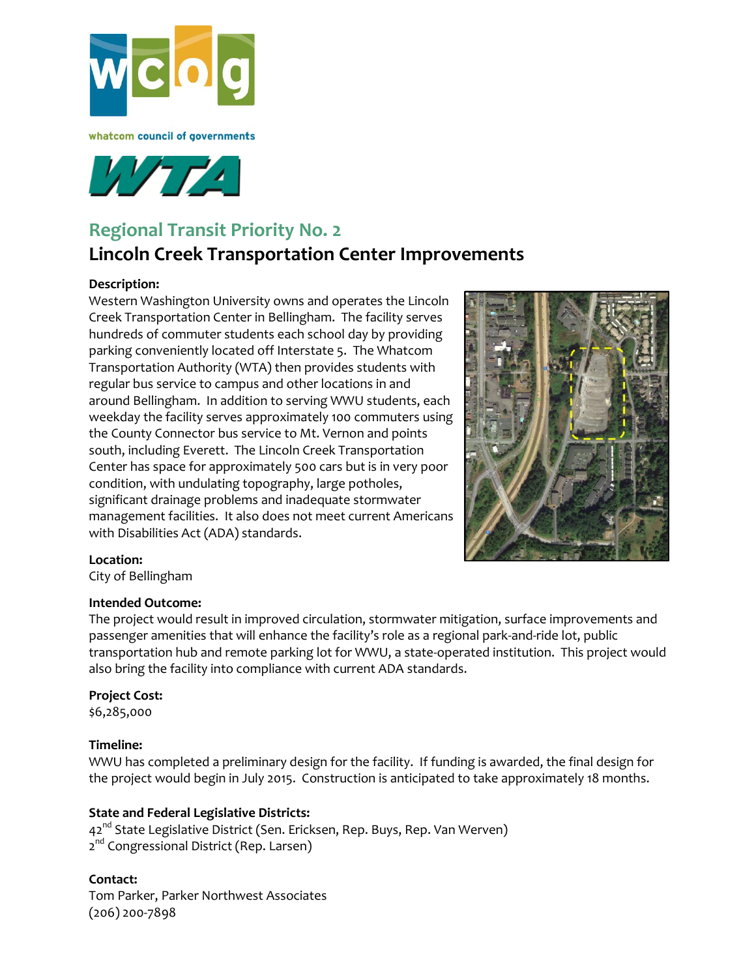



## **Regional Transit Priority No. 2**

## **Lincoln Creek Transportation Center Improvements**

#### **Description:**

Western Washington University owns and operates the Lincoln Creek Transportation Center in Bellingham. The facility serves hundreds of commuter students each school day by providing parking conveniently located off Interstate 5. The Whatcom Transportation Authority (WTA) then provides students with regular bus service to campus and other locations in and around Bellingham. In addition to serving WWU students, each weekday the facility serves approximately 100 commuters using the County Connector bus service to Mt. Vernon and points south, including Everett. The Lincoln Creek Transportation Center has space for approximately 500 cars but is in very poor condition, with undulating topography, large potholes, significant drainage problems and inadequate stormwater management facilities. It also does not meet current Americans with Disabilities Act (ADA) standards.



### **Location:**

City of Bellingham

#### **Intended Outcome:**

The project would result in improved circulation, stormwater mitigation, surface improvements and passenger amenities that will enhance the facility's role as a regional park-and-ride lot, public transportation hub and remote parking lot for WWU, a state-operated institution. This project would also bring the facility into compliance with current ADA standards.

#### **Project Cost:**

\$6,285,000

### **Timeline:**

WWU has completed a preliminary design for the facility. If funding is awarded, the final design for the project would begin in July 2015. Construction is anticipated to take approximately 18 months.

#### **State and Federal Legislative Districts:**

42<sup>nd</sup> State Legislative District (Sen. Ericksen, Rep. Buys, Rep. Van Werven) 2<sup>nd</sup> Congressional District (Rep. Larsen)